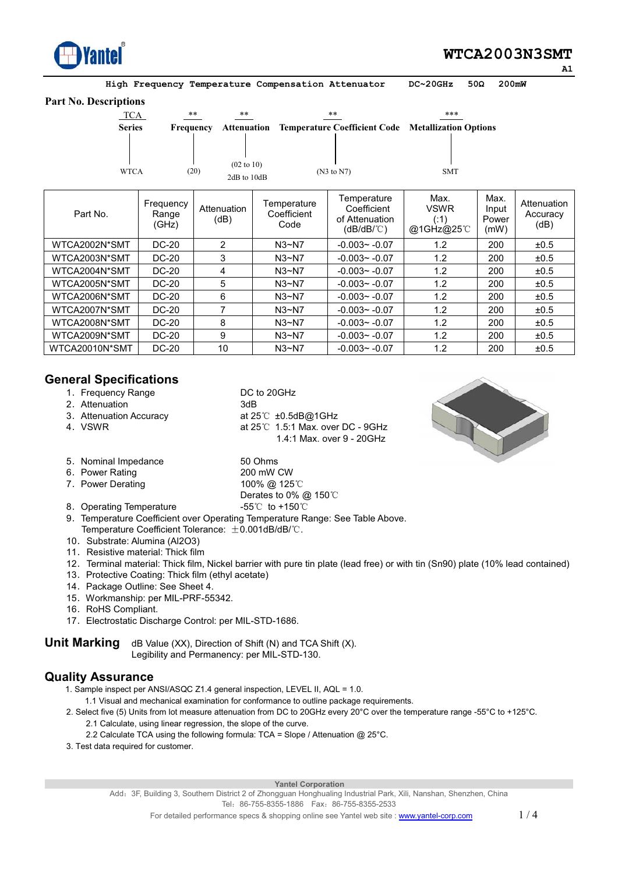

# **WTCA2003N3SMT**

**High Frequency Temperature Compensation Attenuator DC~20GHz 50ȍ 200mW** 

#### **Part No. Descriptions**

| TCA            | $***$                       | $***$                                        |                                    | $***$                                                     | ***                                      |                                |                                 |
|----------------|-----------------------------|----------------------------------------------|------------------------------------|-----------------------------------------------------------|------------------------------------------|--------------------------------|---------------------------------|
| <b>Series</b>  | <b>Frequency</b>            | Attenuation                                  |                                    | <b>Temperature Coefficient Code Metallization Options</b> |                                          |                                |                                 |
| <b>WTCA</b>    |                             | $(02 \text{ to } 10)$<br>(20)<br>2dB to 10dB |                                    | (N3 to N7)                                                | <b>SMT</b>                               |                                |                                 |
| Part No.       | Frequency<br>Range<br>(GHz) | Attenuation<br>(dB)                          | Temperature<br>Coefficient<br>Code | Temperature<br>Coefficient<br>of Attenuation<br>(dB/dB/℃) | Max.<br><b>VSWR</b><br>(.1)<br>@1GHz@25℃ | Max.<br>Input<br>Power<br>(mW) | Attenuation<br>Accuracy<br>(dB) |
| WTCA2002N*SMT  | DC-20                       | $\overline{2}$                               | $N3-N7$                            | $-0.003 - -0.07$                                          | 1.2                                      | 200                            | ±0.5                            |
| WTCA2003N*SMT  | DC-20                       | 3                                            | $N3-N7$                            | $-0.003 - -0.07$                                          | 1.2                                      | 200                            | ±0.5                            |
| WTCA2004N*SMT  | <b>DC-20</b>                | 4                                            | $N3-N7$                            | $-0.003 - -0.07$                                          | 1.2                                      | 200                            | ±0.5                            |
| WTCA2005N*SMT  | DC-20                       | 5                                            | $N3-N7$                            | $-0.003 - -0.07$                                          | 1.2                                      | 200                            | ±0.5                            |
| WTCA2006N*SMT  | DC-20                       | 6                                            | $N3-N7$                            | $-0.003 - -0.07$                                          | 1.2                                      | 200                            | ±0.5                            |
| WTCA2007N*SMT  | <b>DC-20</b>                | 7                                            | $N3-N7$                            | $-0.003 - -0.07$                                          | 1.2                                      | 200                            | ±0.5                            |
| WTCA2008N*SMT  | DC-20                       | 8                                            | $N3-N7$                            | $-0.003 - -0.07$                                          | 1.2                                      | 200                            | ±0.5                            |
| WTCA2009N*SMT  | DC-20                       | 9                                            | $N3-N7$                            | $-0.003 - -0.07$                                          | 1.2                                      | 200                            | ±0.5                            |
| WTCA20010N*SMT | <b>DC-20</b>                | 10                                           | $N3-N7$                            | $-0.003 - -0.07$                                          | 1.2                                      | 200                            | ±0.5                            |

#### **General Specifications**

1. Frequency Range DC to 20GHz 2. Attenuation 3dB<br>3. Attenuation Accuracy at 25℃ ±0.5dB@1GHz 3. Attenuation Accuracy 4. VSWR at  $25^{\circ}$ C 1.5:1 Max. over DC - 9GHz 1.4:1 Max. over 9 - 20GHz 5. Nominal Impedance 50 Ohms<br>6. Power Rating 6. 200 mW CW 6. Power Rating 200 mW CW<br>
7. Power Derating 100%  $@125^\circ$ 



7. Power Derating

- Derates to 0% @ 150℃<br>-55℃ to +150℃ 8. Operating Temperature
- 9. Temperature Coefficient over Operating Temperature Range: See Table Above. Temperature Coefficient Tolerance:  $\pm 0.001$ dB/dB/°C. 10. Substrate: Alumina (Al2O3)
- 
- 11. Resistive material: Thick film
- 12ˊ Terminal material: Thick film, Nickel barrier with pure tin plate (lead free) or with tin (Sn90) plate (10% lead contained)
- 13. Protective Coating: Thick film (ethyl acetate)
- 14. Package Outline: See Sheet 4.
- 15. Workmanship: per MIL-PRF-55342.
- 16. RoHS Compliant.
- 17. Electrostatic Discharge Control: per MIL-STD-1686.

**Unit Marking** dB Value (XX), Direction of Shift (N) and TCA Shift (X). Legibility and Permanency: per MIL-STD-130.

#### **Quality Assurance**

1. Sample inspect per ANSI/ASQC Z1.4 general inspection, LEVEL II, AQL = 1.0.

1.1 Visual and mechanical examination for conformance to outline package requirements.

- 2. Select five (5) Units from lot measure attenuation from DC to 20GHz every 20°C over the temperature range -55°C to +125°C. 2.1 Calculate, using linear regression, the slope of the curve.
	- 2.2 Calculate TCA using the following formula: TCA = Slope / Attenuation @ 25°C.
- 3. Test data required for customer.

#### **Yantel Corporation**

Add: 3F, Building 3, Southern District 2 of Zhongguan Honghualing Industrial Park, Xili, Nanshan, Shenzhen, China Tel: 86-755-8355-1886 Fax: 86-755-8355-2533

 $\overline{\phantom{a}}$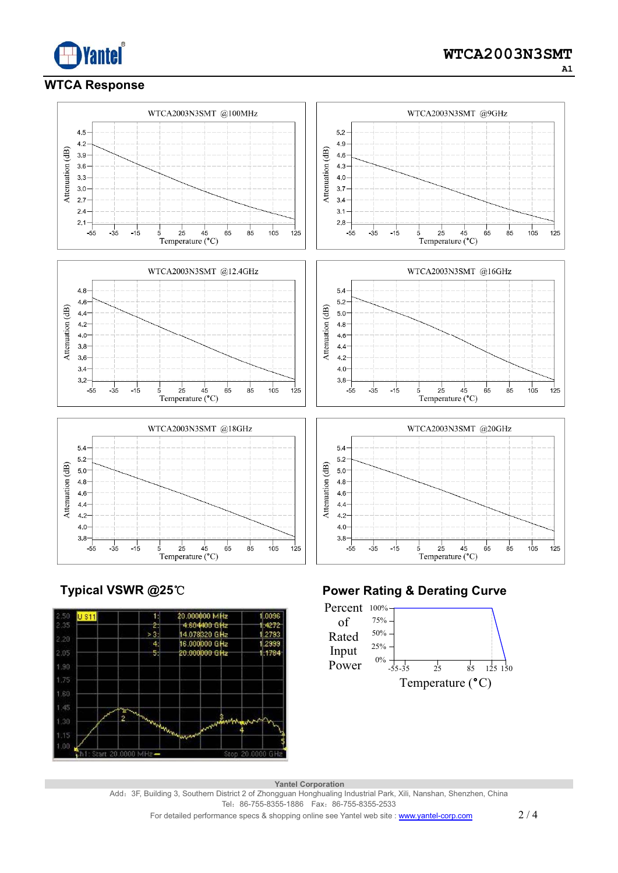

## **WTCA Response**



**Typical VSWR @25**ć



# **Power Rating & Derating Curve**



 **Yantel Corporation** 

Add: 3F, Building 3, Southern District 2 of Zhongguan Honghualing Industrial Park, Xili, Nanshan, Shenzhen, China Tel: 86-755-8355-1886 Fax: 86-755-8355-2533

For detailed performance specs & shopping online see Yantel web site : www.yantel-corp.com 2 / 4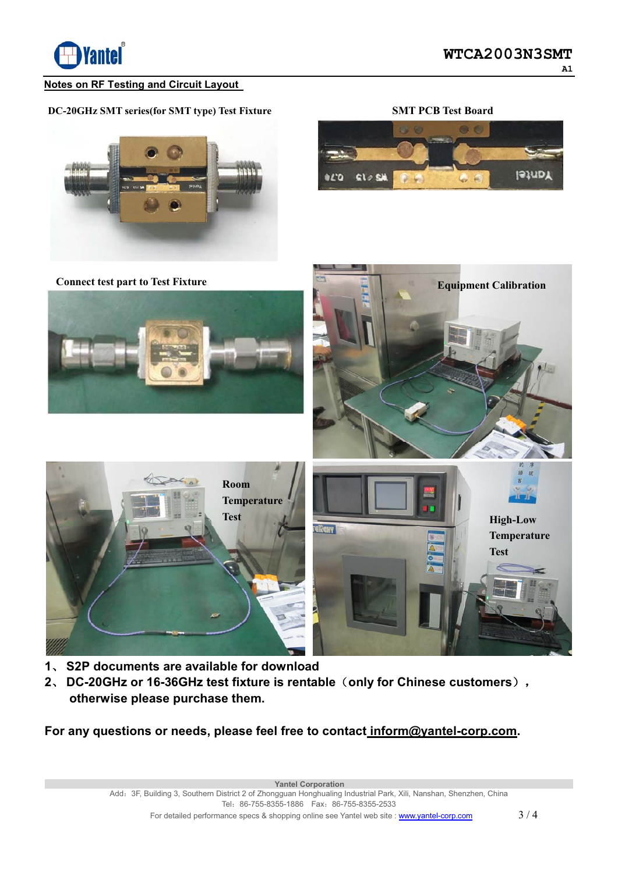

#### **Notes on RF Testing and Circuit Layout**

# **DC-20GHz SMT series(for SMT type) Test Fixture**









- **1**ǃ **S2P documents are available for download**
- 2. DC-20GHz or 16-36GHz test fixture is rentable (only for Chinese customers),  **otherwise please purchase them.**

**For any questions or needs, please feel free to contact inform@yantel-corp.com.** 

 **Yantel Corporation** 

Add: 3F, Building 3, Southern District 2 of Zhongguan Honghualing Industrial Park, Xili, Nanshan, Shenzhen, China Tel: 86-755-8355-1886 Fax: 86-755-8355-2533 For detailed performance specs & shopping online see Yantel web site : www.yantel-corp.com  $3/4$